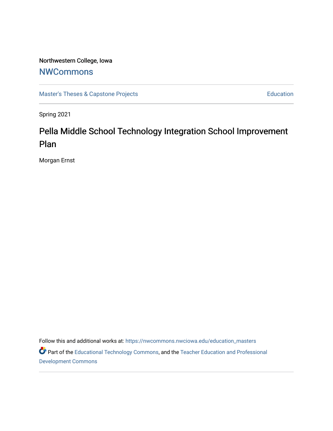## Northwestern College, Iowa

## **[NWCommons](https://nwcommons.nwciowa.edu/)**

[Master's Theses & Capstone Projects](https://nwcommons.nwciowa.edu/education_masters) **Education** Education

Spring 2021

# Pella Middle School Technology Integration School Improvement Plan

Morgan Ernst

Follow this and additional works at: [https://nwcommons.nwciowa.edu/education\\_masters](https://nwcommons.nwciowa.edu/education_masters?utm_source=nwcommons.nwciowa.edu%2Feducation_masters%2F283&utm_medium=PDF&utm_campaign=PDFCoverPages)

Part of the [Educational Technology Commons,](http://network.bepress.com/hgg/discipline/1415?utm_source=nwcommons.nwciowa.edu%2Feducation_masters%2F283&utm_medium=PDF&utm_campaign=PDFCoverPages) and the [Teacher Education and Professional](http://network.bepress.com/hgg/discipline/803?utm_source=nwcommons.nwciowa.edu%2Feducation_masters%2F283&utm_medium=PDF&utm_campaign=PDFCoverPages)  [Development Commons](http://network.bepress.com/hgg/discipline/803?utm_source=nwcommons.nwciowa.edu%2Feducation_masters%2F283&utm_medium=PDF&utm_campaign=PDFCoverPages)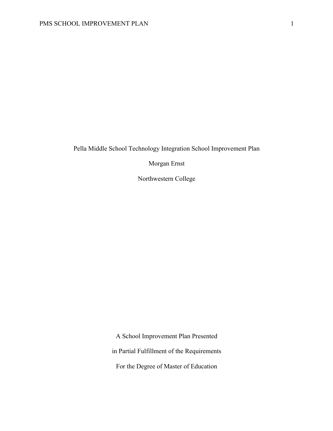Pella Middle School Technology Integration School Improvement Plan

Morgan Ernst

Northwestern College

A School Improvement Plan Presented in Partial Fulfillment of the Requirements For the Degree of Master of Education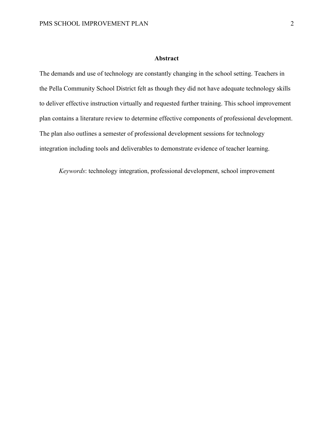## **Abstract**

The demands and use of technology are constantly changing in the school setting. Teachers in the Pella Community School District felt as though they did not have adequate technology skills to deliver effective instruction virtually and requested further training. This school improvement plan contains a literature review to determine effective components of professional development. The plan also outlines a semester of professional development sessions for technology integration including tools and deliverables to demonstrate evidence of teacher learning.

*Keywords*: technology integration, professional development, school improvement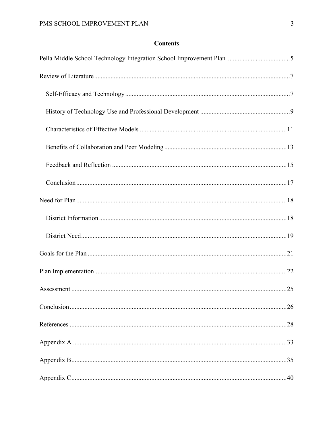## **Contents**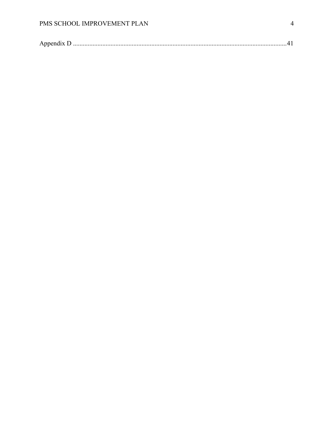|--|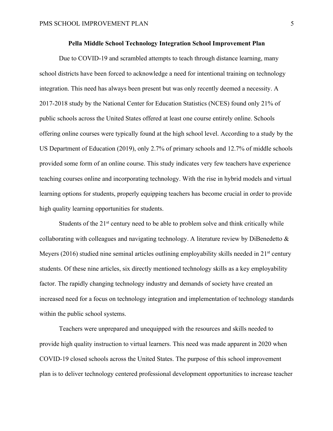## **Pella Middle School Technology Integration School Improvement Plan**

Due to COVID-19 and scrambled attempts to teach through distance learning, many school districts have been forced to acknowledge a need for intentional training on technology integration. This need has always been present but was only recently deemed a necessity. A 2017-2018 study by the National Center for Education Statistics (NCES) found only 21% of public schools across the United States offered at least one course entirely online. Schools offering online courses were typically found at the high school level. According to a study by the US Department of Education (2019), only 2.7% of primary schools and 12.7% of middle schools provided some form of an online course. This study indicates very few teachers have experience teaching courses online and incorporating technology. With the rise in hybrid models and virtual learning options for students, properly equipping teachers has become crucial in order to provide high quality learning opportunities for students.

Students of the  $21<sup>st</sup>$  century need to be able to problem solve and think critically while collaborating with colleagues and navigating technology. A literature review by DiBenedetto & Meyers (2016) studied nine seminal articles outlining employability skills needed in  $21<sup>st</sup>$  century students. Of these nine articles, six directly mentioned technology skills as a key employability factor. The rapidly changing technology industry and demands of society have created an increased need for a focus on technology integration and implementation of technology standards within the public school systems.

Teachers were unprepared and unequipped with the resources and skills needed to provide high quality instruction to virtual learners. This need was made apparent in 2020 when COVID-19 closed schools across the United States. The purpose of this school improvement plan is to deliver technology centered professional development opportunities to increase teacher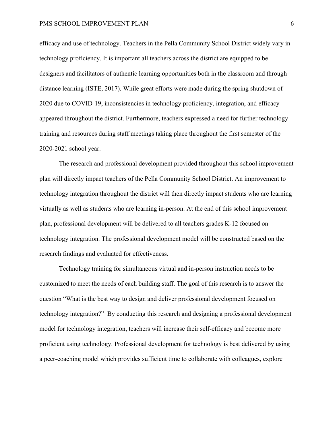efficacy and use of technology. Teachers in the Pella Community School District widely vary in technology proficiency. It is important all teachers across the district are equipped to be designers and facilitators of authentic learning opportunities both in the classroom and through distance learning (ISTE, 2017). While great efforts were made during the spring shutdown of 2020 due to COVID-19, inconsistencies in technology proficiency, integration, and efficacy appeared throughout the district. Furthermore, teachers expressed a need for further technology training and resources during staff meetings taking place throughout the first semester of the 2020-2021 school year.

The research and professional development provided throughout this school improvement plan will directly impact teachers of the Pella Community School District. An improvement to technology integration throughout the district will then directly impact students who are learning virtually as well as students who are learning in-person. At the end of this school improvement plan, professional development will be delivered to all teachers grades K-12 focused on technology integration. The professional development model will be constructed based on the research findings and evaluated for effectiveness.

Technology training for simultaneous virtual and in-person instruction needs to be customized to meet the needs of each building staff. The goal of this research is to answer the question "What is the best way to design and deliver professional development focused on technology integration?" By conducting this research and designing a professional development model for technology integration, teachers will increase their self-efficacy and become more proficient using technology. Professional development for technology is best delivered by using a peer-coaching model which provides sufficient time to collaborate with colleagues, explore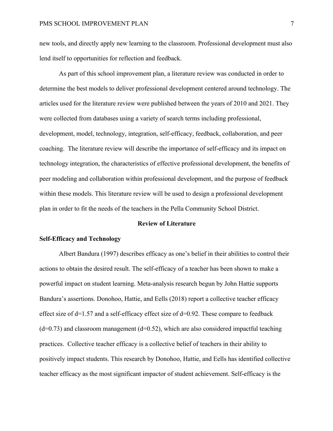new tools, and directly apply new learning to the classroom. Professional development must also lend itself to opportunities for reflection and feedback.

As part of this school improvement plan, a literature review was conducted in order to determine the best models to deliver professional development centered around technology. The articles used for the literature review were published between the years of 2010 and 2021. They were collected from databases using a variety of search terms including professional, development, model, technology, integration, self-efficacy, feedback, collaboration, and peer coaching. The literature review will describe the importance of self-efficacy and its impact on technology integration, the characteristics of effective professional development, the benefits of peer modeling and collaboration within professional development, and the purpose of feedback within these models. This literature review will be used to design a professional development plan in order to fit the needs of the teachers in the Pella Community School District.

## **Review of Literature**

#### **Self-Efficacy and Technology**

Albert Bandura (1997) describes efficacy as one's belief in their abilities to control their actions to obtain the desired result. The self-efficacy of a teacher has been shown to make a powerful impact on student learning. Meta-analysis research begun by John Hattie supports Bandura's assertions. Donohoo, Hattie, and Eells (2018) report a collective teacher efficacy effect size of d=1.57 and a self-efficacy effect size of d=0.92. These compare to feedback  $(d=0.73)$  and classroom management  $(d=0.52)$ , which are also considered impactful teaching practices. Collective teacher efficacy is a collective belief of teachers in their ability to positively impact students. This research by Donohoo, Hattie, and Eells has identified collective teacher efficacy as the most significant impactor of student achievement. Self-efficacy is the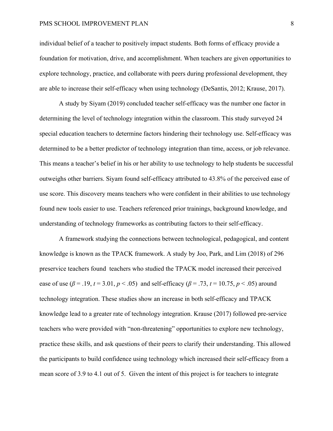individual belief of a teacher to positively impact students. Both forms of efficacy provide a foundation for motivation, drive, and accomplishment. When teachers are given opportunities to explore technology, practice, and collaborate with peers during professional development, they are able to increase their self-efficacy when using technology (DeSantis, 2012; Krause, 2017).

A study by Siyam (2019) concluded teacher self-efficacy was the number one factor in determining the level of technology integration within the classroom. This study surveyed 24 special education teachers to determine factors hindering their technology use. Self-efficacy was determined to be a better predictor of technology integration than time, access, or job relevance. This means a teacher's belief in his or her ability to use technology to help students be successful outweighs other barriers. Siyam found self-efficacy attributed to 43.8% of the perceived ease of use score. This discovery means teachers who were confident in their abilities to use technology found new tools easier to use. Teachers referenced prior trainings, background knowledge, and understanding of technology frameworks as contributing factors to their self-efficacy.

A framework studying the connections between technological, pedagogical, and content knowledge is known as the TPACK framework. A study by Joo, Park, and Lim (2018) of 296 preservice teachers found teachers who studied the TPACK model increased their perceived ease of use ( $\beta$  = .19, *t* = 3.01, *p* < .05) and self-efficacy ( $\beta$  = .73, *t* = 10.75, *p* < .05) around technology integration. These studies show an increase in both self-efficacy and TPACK knowledge lead to a greater rate of technology integration. Krause (2017) followed pre-service teachers who were provided with "non-threatening" opportunities to explore new technology, practice these skills, and ask questions of their peers to clarify their understanding. This allowed the participants to build confidence using technology which increased their self-efficacy from a mean score of 3.9 to 4.1 out of 5. Given the intent of this project is for teachers to integrate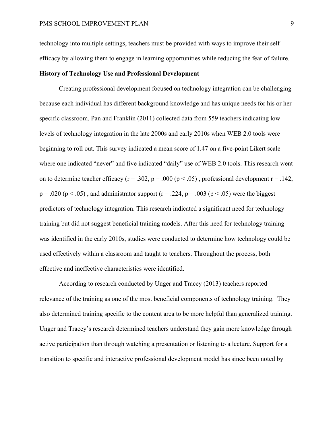technology into multiple settings, teachers must be provided with ways to improve their selfefficacy by allowing them to engage in learning opportunities while reducing the fear of failure.

## **History of Technology Use and Professional Development**

Creating professional development focused on technology integration can be challenging because each individual has different background knowledge and has unique needs for his or her specific classroom. Pan and Franklin (2011) collected data from 559 teachers indicating low levels of technology integration in the late 2000s and early 2010s when WEB 2.0 tools were beginning to roll out. This survey indicated a mean score of 1.47 on a five-point Likert scale where one indicated "never" and five indicated "daily" use of WEB 2.0 tools. This research went on to determine teacher efficacy ( $r = .302$ ,  $p = .000$  ( $p < .05$ ), professional development  $r = .142$ ,  $p = .020$  ( $p < .05$ ), and administrator support ( $r = .224$ ,  $p = .003$  ( $p < .05$ ) were the biggest predictors of technology integration. This research indicated a significant need for technology training but did not suggest beneficial training models. After this need for technology training was identified in the early 2010s, studies were conducted to determine how technology could be used effectively within a classroom and taught to teachers. Throughout the process, both effective and ineffective characteristics were identified.

According to research conducted by Unger and Tracey (2013) teachers reported relevance of the training as one of the most beneficial components of technology training. They also determined training specific to the content area to be more helpful than generalized training. Unger and Tracey's research determined teachers understand they gain more knowledge through active participation than through watching a presentation or listening to a lecture. Support for a transition to specific and interactive professional development model has since been noted by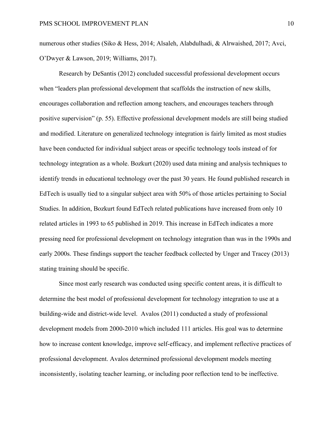numerous other studies (Siko & Hess, 2014; Alsaleh, Alabdulhadi, & Alrwaished, 2017; Avci, O'Dwyer & Lawson, 2019; Williams, 2017).

Research by DeSantis (2012) concluded successful professional development occurs when "leaders plan professional development that scaffolds the instruction of new skills, encourages collaboration and reflection among teachers, and encourages teachers through positive supervision" (p. 55). Effective professional development models are still being studied and modified. Literature on generalized technology integration is fairly limited as most studies have been conducted for individual subject areas or specific technology tools instead of for technology integration as a whole. Bozkurt (2020) used data mining and analysis techniques to identify trends in educational technology over the past 30 years. He found published research in EdTech is usually tied to a singular subject area with 50% of those articles pertaining to Social Studies. In addition, Bozkurt found EdTech related publications have increased from only 10 related articles in 1993 to 65 published in 2019. This increase in EdTech indicates a more pressing need for professional development on technology integration than was in the 1990s and early 2000s. These findings support the teacher feedback collected by Unger and Tracey (2013) stating training should be specific.

Since most early research was conducted using specific content areas, it is difficult to determine the best model of professional development for technology integration to use at a building-wide and district-wide level. Avalos (2011) conducted a study of professional development models from 2000-2010 which included 111 articles. His goal was to determine how to increase content knowledge, improve self-efficacy, and implement reflective practices of professional development. Avalos determined professional development models meeting inconsistently, isolating teacher learning, or including poor reflection tend to be ineffective.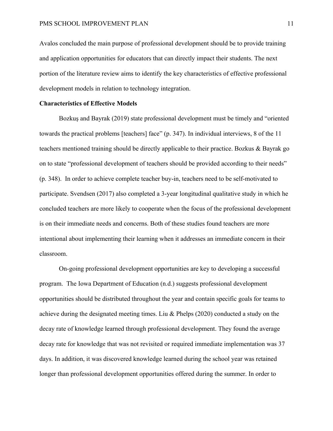Avalos concluded the main purpose of professional development should be to provide training and application opportunities for educators that can directly impact their students. The next portion of the literature review aims to identify the key characteristics of effective professional development models in relation to technology integration.

## **Characteristics of Effective Models**

Bozkuş and Bayrak (2019) state professional development must be timely and "oriented towards the practical problems [teachers] face" (p. 347). In individual interviews, 8 of the 11 teachers mentioned training should be directly applicable to their practice. Bozkus & Bayrak go on to state "professional development of teachers should be provided according to their needs" (p. 348). In order to achieve complete teacher buy-in, teachers need to be self-motivated to participate. Svendsen (2017) also completed a 3-year longitudinal qualitative study in which he concluded teachers are more likely to cooperate when the focus of the professional development is on their immediate needs and concerns. Both of these studies found teachers are more intentional about implementing their learning when it addresses an immediate concern in their classroom.

On-going professional development opportunities are key to developing a successful program. The Iowa Department of Education (n.d.) suggests professional development opportunities should be distributed throughout the year and contain specific goals for teams to achieve during the designated meeting times. Liu & Phelps (2020) conducted a study on the decay rate of knowledge learned through professional development. They found the average decay rate for knowledge that was not revisited or required immediate implementation was 37 days. In addition, it was discovered knowledge learned during the school year was retained longer than professional development opportunities offered during the summer. In order to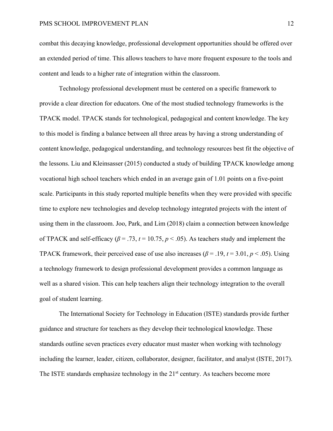combat this decaying knowledge, professional development opportunities should be offered over an extended period of time. This allows teachers to have more frequent exposure to the tools and content and leads to a higher rate of integration within the classroom.

Technology professional development must be centered on a specific framework to provide a clear direction for educators. One of the most studied technology frameworks is the TPACK model. TPACK stands for technological, pedagogical and content knowledge. The key to this model is finding a balance between all three areas by having a strong understanding of content knowledge, pedagogical understanding, and technology resources best fit the objective of the lessons. Liu and Kleinsasser (2015) conducted a study of building TPACK knowledge among vocational high school teachers which ended in an average gain of 1.01 points on a five-point scale. Participants in this study reported multiple benefits when they were provided with specific time to explore new technologies and develop technology integrated projects with the intent of using them in the classroom. Joo, Park, and Lim (2018) claim a connection between knowledge of TPACK and self-efficacy ( $\beta$  = .73,  $t$  = 10.75,  $p$  < .05). As teachers study and implement the TPACK framework, their perceived ease of use also increases ( $\beta$  = .19,  $t$  = 3.01,  $p$  < .05). Using a technology framework to design professional development provides a common language as well as a shared vision. This can help teachers align their technology integration to the overall goal of student learning.

The International Society for Technology in Education (ISTE) standards provide further guidance and structure for teachers as they develop their technological knowledge. These standards outline seven practices every educator must master when working with technology including the learner, leader, citizen, collaborator, designer, facilitator, and analyst (ISTE, 2017). The ISTE standards emphasize technology in the  $21<sup>st</sup>$  century. As teachers become more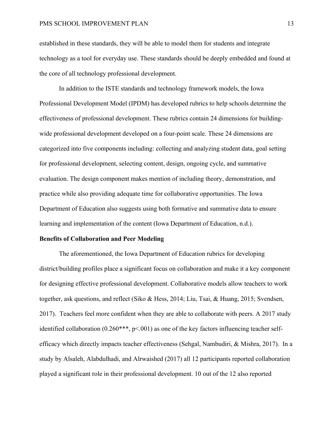established in these standards, they will be able to model them for students and integrate technology as a tool for everyday use. These standards should be deeply embedded and found at the core of all technology professional development.

In addition to the ISTE standards and technology framework models, the Iowa Professional Development Model (IPDM) has developed rubrics to help schools determine the effectiveness of professional development. These rubrics contain 24 dimensions for buildingwide professional development developed on a four-point scale. These 24 dimensions are categorized into five components including: collecting and analyzing student data, goal setting for professional development, selecting content, design, ongoing cycle, and summative evaluation. The design component makes mention of including theory, demonstration, and practice while also providing adequate time for collaborative opportunities. The Iowa Department of Education also suggests using both formative and summative data to ensure learning and implementation of the content (Iowa Department of Education, n.d.).

## **Benefits of Collaboration and Peer Modeling**

The aforementioned, the Iowa Department of Education rubrics for developing district/building profiles place a significant focus on collaboration and make it a key component for designing effective professional development. Collaborative models allow teachers to work together, ask questions, and reflect (Siko & Hess, 2014; Liu, Tsai, & Huang, 2015; Svendsen, 2017). Teachers feel more confident when they are able to collaborate with peers. A 2017 study identified collaboration  $(0.260***, p<.001)$  as one of the key factors influencing teacher selfefficacy which directly impacts teacher effectiveness (Sehgal, Nambudiri, & Mishra, 2017). In a study by Alsaleh, Alabdulhadi, and Alrwaished (2017) all 12 participants reported collaboration played a significant role in their professional development. 10 out of the 12 also reported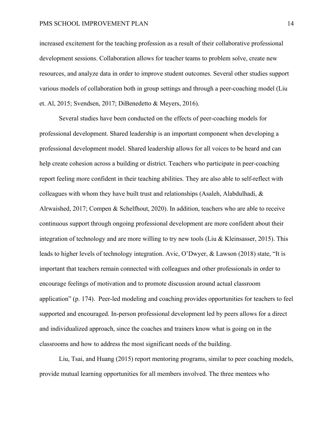increased excitement for the teaching profession as a result of their collaborative professional development sessions. Collaboration allows for teacher teams to problem solve, create new resources, and analyze data in order to improve student outcomes. Several other studies support various models of collaboration both in group settings and through a peer-coaching model (Liu et. Al, 2015; Svendsen, 2017; DiBenedetto & Meyers, 2016).

Several studies have been conducted on the effects of peer-coaching models for professional development. Shared leadership is an important component when developing a professional development model. Shared leadership allows for all voices to be heard and can help create cohesion across a building or district. Teachers who participate in peer-coaching report feeling more confident in their teaching abilities. They are also able to self-reflect with colleagues with whom they have built trust and relationships (Asaleh, Alabdulhadi,  $\&$ Alrwaished, 2017; Compen & Schelfhout, 2020). In addition, teachers who are able to receive continuous support through ongoing professional development are more confident about their integration of technology and are more willing to try new tools (Liu & Kleinsasser, 2015). This leads to higher levels of technology integration. Avic, O'Dwyer, & Lawson (2018) state, "It is important that teachers remain connected with colleagues and other professionals in order to encourage feelings of motivation and to promote discussion around actual classroom application" (p. 174). Peer-led modeling and coaching provides opportunities for teachers to feel supported and encouraged. In-person professional development led by peers allows for a direct and individualized approach, since the coaches and trainers know what is going on in the classrooms and how to address the most significant needs of the building.

Liu, Tsai, and Huang (2015) report mentoring programs, similar to peer coaching models, provide mutual learning opportunities for all members involved. The three mentees who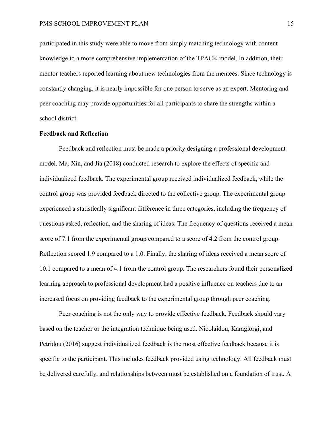participated in this study were able to move from simply matching technology with content knowledge to a more comprehensive implementation of the TPACK model. In addition, their mentor teachers reported learning about new technologies from the mentees. Since technology is constantly changing, it is nearly impossible for one person to serve as an expert. Mentoring and peer coaching may provide opportunities for all participants to share the strengths within a school district.

## **Feedback and Reflection**

Feedback and reflection must be made a priority designing a professional development model. Ma, Xin, and Jia (2018) conducted research to explore the effects of specific and individualized feedback. The experimental group received individualized feedback, while the control group was provided feedback directed to the collective group. The experimental group experienced a statistically significant difference in three categories, including the frequency of questions asked, reflection, and the sharing of ideas. The frequency of questions received a mean score of 7.1 from the experimental group compared to a score of 4.2 from the control group. Reflection scored 1.9 compared to a 1.0. Finally, the sharing of ideas received a mean score of 10.1 compared to a mean of 4.1 from the control group. The researchers found their personalized learning approach to professional development had a positive influence on teachers due to an increased focus on providing feedback to the experimental group through peer coaching.

Peer coaching is not the only way to provide effective feedback. Feedback should vary based on the teacher or the integration technique being used. Nicolaidou, Karagiorgi, and Petridou (2016) suggest individualized feedback is the most effective feedback because it is specific to the participant. This includes feedback provided using technology. All feedback must be delivered carefully, and relationships between must be established on a foundation of trust. A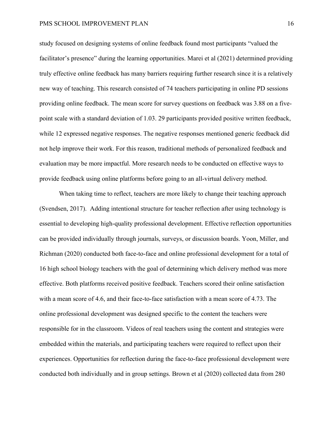study focused on designing systems of online feedback found most participants "valued the facilitator's presence" during the learning opportunities. Marei et al (2021) determined providing truly effective online feedback has many barriers requiring further research since it is a relatively new way of teaching. This research consisted of 74 teachers participating in online PD sessions providing online feedback. The mean score for survey questions on feedback was 3.88 on a fivepoint scale with a standard deviation of 1.03. 29 participants provided positive written feedback, while 12 expressed negative responses. The negative responses mentioned generic feedback did not help improve their work. For this reason, traditional methods of personalized feedback and evaluation may be more impactful. More research needs to be conducted on effective ways to provide feedback using online platforms before going to an all-virtual delivery method.

When taking time to reflect, teachers are more likely to change their teaching approach (Svendsen, 2017). Adding intentional structure for teacher reflection after using technology is essential to developing high-quality professional development. Effective reflection opportunities can be provided individually through journals, surveys, or discussion boards. Yoon, Miller, and Richman (2020) conducted both face-to-face and online professional development for a total of 16 high school biology teachers with the goal of determining which delivery method was more effective. Both platforms received positive feedback. Teachers scored their online satisfaction with a mean score of 4.6, and their face-to-face satisfaction with a mean score of 4.73. The online professional development was designed specific to the content the teachers were responsible for in the classroom. Videos of real teachers using the content and strategies were embedded within the materials, and participating teachers were required to reflect upon their experiences. Opportunities for reflection during the face-to-face professional development were conducted both individually and in group settings. Brown et al (2020) collected data from 280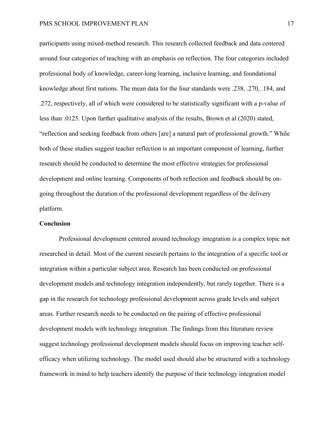participants using mixed-method research. This research collected feedback and data centered around four categories of teaching with an emphasis on reflection. The four categories included professional body of knowledge, career-long learning, inclusive learning, and foundational knowledge about first nations. The mean data for the four standards were .238, .270, .184, and .272, respectively, all of which were considered to be statistically significant with a p-value of less than .0125. Upon further qualitative analysis of the results, Brown et al (2020) stated, "reflection and seeking feedback from others [are] a natural part of professional growth." While both of these studies suggest teacher reflection is an important component of learning, further research should be conducted to determine the most effective strategies for professional development and online learning. Components of both reflection and feedback should be ongoing throughout the duration of the professional development regardless of the delivery platform.

## **Conclusion**

Professional development centered around technology integration is a complex topic not researched in detail. Most of the current research pertains to the integration of a specific tool or integration within a particular subject area. Research has been conducted on professional development models and technology integration independently, but rarely together. There is a gap in the research for technology professional development across grade levels and subject areas. Further research needs to be conducted on the pairing of effective professional development models with technology integration. The findings from this literature review suggest technology professional development models should focus on improving teacher selfefficacy when utilizing technology. The model used should also be structured with a technology framework in mind to help teachers identify the purpose of their technology integration model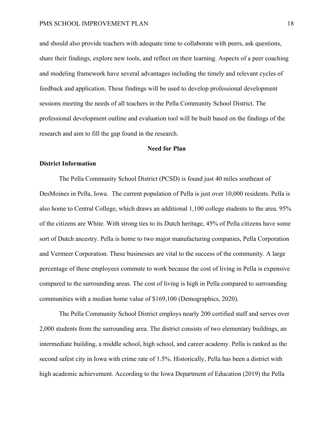and should also provide teachers with adequate time to collaborate with peers, ask questions, share their findings, explore new tools, and reflect on their learning. Aspects of a peer coaching and modeling framework have several advantages including the timely and relevant cycles of feedback and application. These findings will be used to develop professional development sessions meeting the needs of all teachers in the Pella Community School District. The professional development outline and evaluation tool will be built based on the findings of the research and aim to fill the gap found in the research.

### **Need for Plan**

## **District Information**

The Pella Community School District (PCSD) is found just 40 miles southeast of DesMoines in Pella, Iowa. The current population of Pella is just over 10,000 residents. Pella is also home to Central College, which draws an additional 1,100 college students to the area. 95% of the citizens are White. With strong ties to its Dutch heritage, 45% of Pella citizens have some sort of Dutch ancestry. Pella is home to two major manufacturing companies, Pella Corporation and Vermeer Corporation. These businesses are vital to the success of the community. A large percentage of these employees commute to work because the cost of living in Pella is expensive compared to the surrounding areas. The cost of living is high in Pella compared to surrounding communities with a median home value of \$169,100 (Demographics, 2020).

The Pella Community School District employs nearly 200 certified staff and serves over 2,000 students from the surrounding area. The district consists of two elementary buildings, an intermediate building, a middle school, high school, and career academy. Pella is ranked as the second safest city in Iowa with crime rate of 1.5%. Historically, Pella has been a district with high academic achievement. According to the Iowa Department of Education (2019) the Pella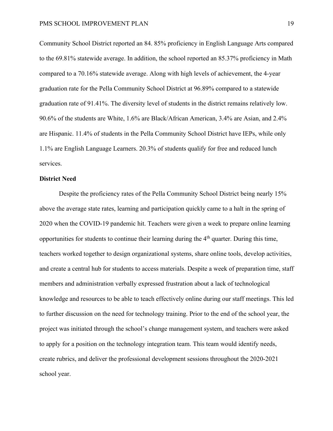Community School District reported an 84. 85% proficiency in English Language Arts compared to the 69.81% statewide average. In addition, the school reported an 85.37% proficiency in Math compared to a 70.16% statewide average. Along with high levels of achievement, the 4-year graduation rate for the Pella Community School District at 96.89% compared to a statewide graduation rate of 91.41%. The diversity level of students in the district remains relatively low. 90.6% of the students are White, 1.6% are Black/African American, 3.4% are Asian, and 2.4% are Hispanic. 11.4% of students in the Pella Community School District have IEPs, while only 1.1% are English Language Learners. 20.3% of students qualify for free and reduced lunch services.

### **District Need**

Despite the proficiency rates of the Pella Community School District being nearly 15% above the average state rates, learning and participation quickly came to a halt in the spring of 2020 when the COVID-19 pandemic hit. Teachers were given a week to prepare online learning opportunities for students to continue their learning during the 4th quarter. During this time, teachers worked together to design organizational systems, share online tools, develop activities, and create a central hub for students to access materials. Despite a week of preparation time, staff members and administration verbally expressed frustration about a lack of technological knowledge and resources to be able to teach effectively online during our staff meetings. This led to further discussion on the need for technology training. Prior to the end of the school year, the project was initiated through the school's change management system, and teachers were asked to apply for a position on the technology integration team. This team would identify needs, create rubrics, and deliver the professional development sessions throughout the 2020-2021 school year.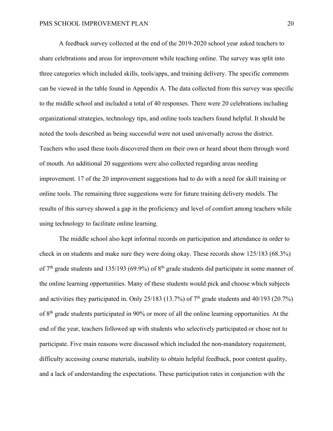A feedback survey collected at the end of the 2019-2020 school year asked teachers to share celebrations and areas for improvement while teaching online. The survey was split into three categories which included skills, tools/apps, and training delivery. The specific comments can be viewed in the table found in Appendix A. The data collected from this survey was specific to the middle school and included a total of 40 responses. There were 20 celebrations including organizational strategies, technology tips, and online tools teachers found helpful. It should be noted the tools described as being successful were not used universally across the district. Teachers who used these tools discovered them on their own or heard about them through word of mouth. An additional 20 suggestions were also collected regarding areas needing improvement. 17 of the 20 improvement suggestions had to do with a need for skill training or online tools. The remaining three suggestions were for future training delivery models. The results of this survey showed a gap in the proficiency and level of comfort among teachers while using technology to facilitate online learning.

The middle school also kept informal records on participation and attendance in order to check in on students and make sure they were doing okay. These records show 125/183 (68.3%) of 7<sup>th</sup> grade students and 135/193 (69.9%) of 8<sup>th</sup> grade students did participate in some manner of the online learning opportunities. Many of these students would pick and choose which subjects and activities they participated in. Only 25/183 (13.7%) of  $7<sup>th</sup>$  grade students and 40/193 (20.7%) of 8th grade students participated in 90% or more of all the online learning opportunities. At the end of the year, teachers followed up with students who selectively participated or chose not to participate. Five main reasons were discussed which included the non-mandatory requirement, difficulty accessing course materials, inability to obtain helpful feedback, poor content quality, and a lack of understanding the expectations. These participation rates in conjunction with the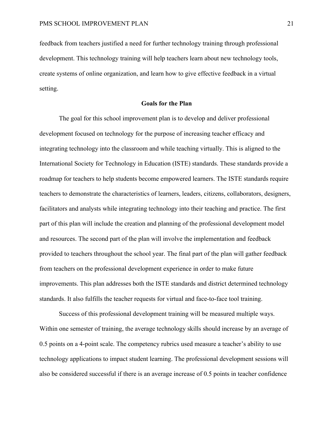feedback from teachers justified a need for further technology training through professional development. This technology training will help teachers learn about new technology tools, create systems of online organization, and learn how to give effective feedback in a virtual setting.

## **Goals for the Plan**

The goal for this school improvement plan is to develop and deliver professional development focused on technology for the purpose of increasing teacher efficacy and integrating technology into the classroom and while teaching virtually. This is aligned to the International Society for Technology in Education (ISTE) standards. These standards provide a roadmap for teachers to help students become empowered learners. The ISTE standards require teachers to demonstrate the characteristics of learners, leaders, citizens, collaborators, designers, facilitators and analysts while integrating technology into their teaching and practice. The first part of this plan will include the creation and planning of the professional development model and resources. The second part of the plan will involve the implementation and feedback provided to teachers throughout the school year. The final part of the plan will gather feedback from teachers on the professional development experience in order to make future improvements. This plan addresses both the ISTE standards and district determined technology standards. It also fulfills the teacher requests for virtual and face-to-face tool training.

Success of this professional development training will be measured multiple ways. Within one semester of training, the average technology skills should increase by an average of 0.5 points on a 4-point scale. The competency rubrics used measure a teacher's ability to use technology applications to impact student learning. The professional development sessions will also be considered successful if there is an average increase of 0.5 points in teacher confidence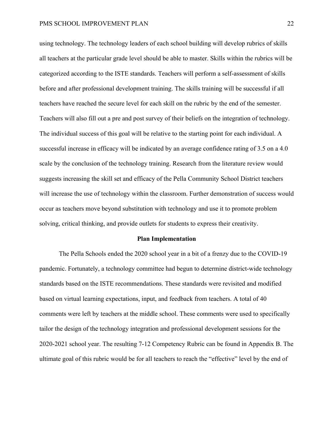using technology. The technology leaders of each school building will develop rubrics of skills all teachers at the particular grade level should be able to master. Skills within the rubrics will be categorized according to the ISTE standards. Teachers will perform a self-assessment of skills before and after professional development training. The skills training will be successful if all teachers have reached the secure level for each skill on the rubric by the end of the semester. Teachers will also fill out a pre and post survey of their beliefs on the integration of technology. The individual success of this goal will be relative to the starting point for each individual. A successful increase in efficacy will be indicated by an average confidence rating of 3.5 on a 4.0 scale by the conclusion of the technology training. Research from the literature review would suggests increasing the skill set and efficacy of the Pella Community School District teachers will increase the use of technology within the classroom. Further demonstration of success would occur as teachers move beyond substitution with technology and use it to promote problem solving, critical thinking, and provide outlets for students to express their creativity.

#### **Plan Implementation**

The Pella Schools ended the 2020 school year in a bit of a frenzy due to the COVID-19 pandemic. Fortunately, a technology committee had begun to determine district-wide technology standards based on the ISTE recommendations. These standards were revisited and modified based on virtual learning expectations, input, and feedback from teachers. A total of 40 comments were left by teachers at the middle school. These comments were used to specifically tailor the design of the technology integration and professional development sessions for the 2020-2021 school year. The resulting 7-12 Competency Rubric can be found in Appendix B. The ultimate goal of this rubric would be for all teachers to reach the "effective" level by the end of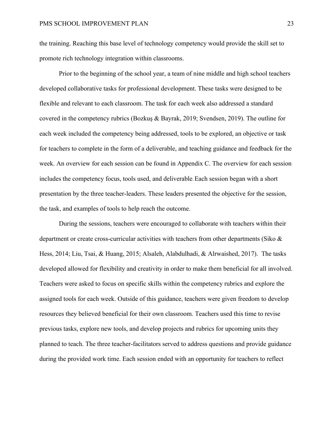the training. Reaching this base level of technology competency would provide the skill set to promote rich technology integration within classrooms.

Prior to the beginning of the school year, a team of nine middle and high school teachers developed collaborative tasks for professional development. These tasks were designed to be flexible and relevant to each classroom. The task for each week also addressed a standard covered in the competency rubrics (Bozkuş & Bayrak, 2019; Svendsen, 2019). The outline for each week included the competency being addressed, tools to be explored, an objective or task for teachers to complete in the form of a deliverable, and teaching guidance and feedback for the week. An overview for each session can be found in Appendix C. The overview for each session includes the competency focus, tools used, and deliverable. Each session began with a short presentation by the three teacher-leaders. These leaders presented the objective for the session, the task, and examples of tools to help reach the outcome.

During the sessions, teachers were encouraged to collaborate with teachers within their department or create cross-curricular activities with teachers from other departments (Siko & Hess, 2014; Liu, Tsai, & Huang, 2015; Alsaleh, Alabdulhadi, & Alrwaished, 2017). The tasks developed allowed for flexibility and creativity in order to make them beneficial for all involved. Teachers were asked to focus on specific skills within the competency rubrics and explore the assigned tools for each week. Outside of this guidance, teachers were given freedom to develop resources they believed beneficial for their own classroom. Teachers used this time to revise previous tasks, explore new tools, and develop projects and rubrics for upcoming units they planned to teach. The three teacher-facilitators served to address questions and provide guidance during the provided work time. Each session ended with an opportunity for teachers to reflect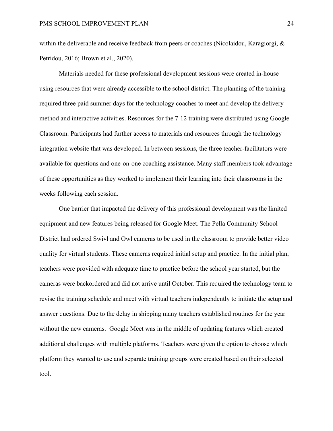within the deliverable and receive feedback from peers or coaches (Nicolaidou, Karagiorgi, & Petridou, 2016; Brown et al., 2020).

Materials needed for these professional development sessions were created in-house using resources that were already accessible to the school district. The planning of the training required three paid summer days for the technology coaches to meet and develop the delivery method and interactive activities. Resources for the 7-12 training were distributed using Google Classroom. Participants had further access to materials and resources through the technology integration website that was developed. In between sessions, the three teacher-facilitators were available for questions and one-on-one coaching assistance. Many staff members took advantage of these opportunities as they worked to implement their learning into their classrooms in the weeks following each session.

One barrier that impacted the delivery of this professional development was the limited equipment and new features being released for Google Meet. The Pella Community School District had ordered Swivl and Owl cameras to be used in the classroom to provide better video quality for virtual students. These cameras required initial setup and practice. In the initial plan, teachers were provided with adequate time to practice before the school year started, but the cameras were backordered and did not arrive until October. This required the technology team to revise the training schedule and meet with virtual teachers independently to initiate the setup and answer questions. Due to the delay in shipping many teachers established routines for the year without the new cameras. Google Meet was in the middle of updating features which created additional challenges with multiple platforms. Teachers were given the option to choose which platform they wanted to use and separate training groups were created based on their selected tool.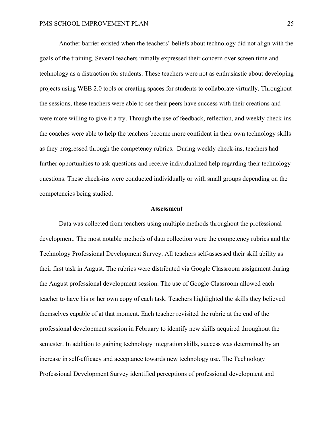Another barrier existed when the teachers' beliefs about technology did not align with the goals of the training. Several teachers initially expressed their concern over screen time and technology as a distraction for students. These teachers were not as enthusiastic about developing projects using WEB 2.0 tools or creating spaces for students to collaborate virtually. Throughout the sessions, these teachers were able to see their peers have success with their creations and were more willing to give it a try. Through the use of feedback, reflection, and weekly check-ins the coaches were able to help the teachers become more confident in their own technology skills as they progressed through the competency rubrics. During weekly check-ins, teachers had further opportunities to ask questions and receive individualized help regarding their technology questions. These check-ins were conducted individually or with small groups depending on the competencies being studied.

#### **Assessment**

Data was collected from teachers using multiple methods throughout the professional development. The most notable methods of data collection were the competency rubrics and the Technology Professional Development Survey. All teachers self-assessed their skill ability as their first task in August. The rubrics were distributed via Google Classroom assignment during the August professional development session. The use of Google Classroom allowed each teacher to have his or her own copy of each task. Teachers highlighted the skills they believed themselves capable of at that moment. Each teacher revisited the rubric at the end of the professional development session in February to identify new skills acquired throughout the semester. In addition to gaining technology integration skills, success was determined by an increase in self-efficacy and acceptance towards new technology use. The Technology Professional Development Survey identified perceptions of professional development and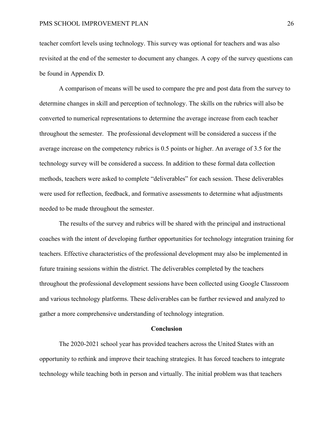teacher comfort levels using technology. This survey was optional for teachers and was also revisited at the end of the semester to document any changes. A copy of the survey questions can be found in Appendix D.

A comparison of means will be used to compare the pre and post data from the survey to determine changes in skill and perception of technology. The skills on the rubrics will also be converted to numerical representations to determine the average increase from each teacher throughout the semester. The professional development will be considered a success if the average increase on the competency rubrics is 0.5 points or higher. An average of 3.5 for the technology survey will be considered a success. In addition to these formal data collection methods, teachers were asked to complete "deliverables" for each session. These deliverables were used for reflection, feedback, and formative assessments to determine what adjustments needed to be made throughout the semester.

The results of the survey and rubrics will be shared with the principal and instructional coaches with the intent of developing further opportunities for technology integration training for teachers. Effective characteristics of the professional development may also be implemented in future training sessions within the district. The deliverables completed by the teachers throughout the professional development sessions have been collected using Google Classroom and various technology platforms. These deliverables can be further reviewed and analyzed to gather a more comprehensive understanding of technology integration.

### **Conclusion**

The 2020-2021 school year has provided teachers across the United States with an opportunity to rethink and improve their teaching strategies. It has forced teachers to integrate technology while teaching both in person and virtually. The initial problem was that teachers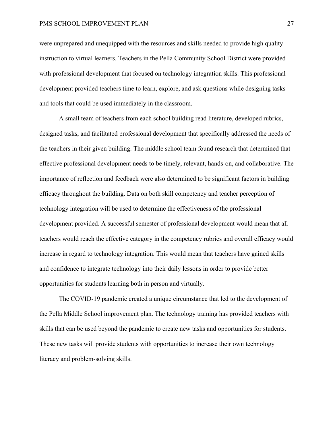were unprepared and unequipped with the resources and skills needed to provide high quality instruction to virtual learners. Teachers in the Pella Community School District were provided with professional development that focused on technology integration skills. This professional development provided teachers time to learn, explore, and ask questions while designing tasks and tools that could be used immediately in the classroom.

A small team of teachers from each school building read literature, developed rubrics, designed tasks, and facilitated professional development that specifically addressed the needs of the teachers in their given building. The middle school team found research that determined that effective professional development needs to be timely, relevant, hands-on, and collaborative. The importance of reflection and feedback were also determined to be significant factors in building efficacy throughout the building. Data on both skill competency and teacher perception of technology integration will be used to determine the effectiveness of the professional development provided. A successful semester of professional development would mean that all teachers would reach the effective category in the competency rubrics and overall efficacy would increase in regard to technology integration. This would mean that teachers have gained skills and confidence to integrate technology into their daily lessons in order to provide better opportunities for students learning both in person and virtually.

The COVID-19 pandemic created a unique circumstance that led to the development of the Pella Middle School improvement plan. The technology training has provided teachers with skills that can be used beyond the pandemic to create new tasks and opportunities for students. These new tasks will provide students with opportunities to increase their own technology literacy and problem-solving skills.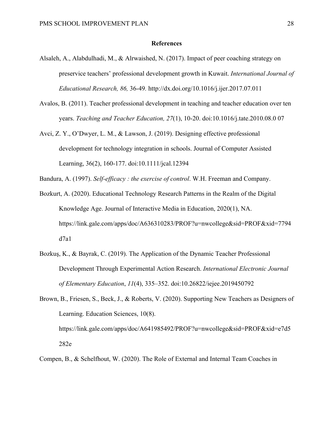## **References**

- Alsaleh, A., Alabdulhadi, M., & Alrwaished, N. (2017). Impact of peer coaching strategy on preservice teachers' professional development growth in Kuwait. *International Journal of Educational Research, 86,* 36-49*.* http://dx.doi.org/10.1016/j.ijer.2017.07.011
- Avalos, B. (2011). Teacher professional development in teaching and teacher education over ten years. *Teaching and Teacher Education, 27*(1), 10-20. doi:10.1016/j.tate.2010.08.0 07
- Avci, Z. Y., O'Dwyer, L. M., & Lawson, J. (2019). Designing effective professional development for technology integration in schools. Journal of Computer Assisted Learning, 36(2), 160-177. doi:10.1111/jcal.12394
- Bandura, A. (1997). *Self-efficacy : the exercise of control*. W.H. Freeman and Company.
- Bozkurt, A. (2020). Educational Technology Research Patterns in the Realm of the Digital Knowledge Age. Journal of Interactive Media in Education, 2020(1), NA. https://link.gale.com/apps/doc/A636310283/PROF?u=nwcollege&sid=PROF&xid=7794 d7a1
- Bozkuş, K., & Bayrak, C. (2019). The Application of the Dynamic Teacher Professional Development Through Experimental Action Research. *International Electronic Journal of Elementary Education*, *11*(4), 335–352. doi:10.26822/iejee.2019450792
- Brown, B., Friesen, S., Beck, J., & Roberts, V. (2020). Supporting New Teachers as Designers of Learning. Education Sciences, 10(8). https://link.gale.com/apps/doc/A641985492/PROF?u=nwcollege&sid=PROF&xid=e7d5 282e
- Compen, B., & Schelfhout, W. (2020). The Role of External and Internal Team Coaches in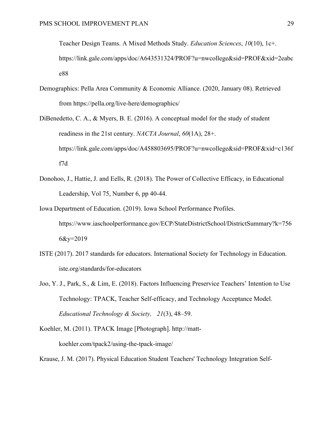Teacher Design Teams. A Mixed Methods Study. *Education Sciences*, *10*(10), 1c+. https://link.gale.com/apps/doc/A643531324/PROF?u=nwcollege&sid=PROF&xid=2eabc e88

- Demographics: Pella Area Community & Economic Alliance. (2020, January 08). Retrieved from https://pella.org/live-here/demographics/
- DiBenedetto, C. A., & Myers, B. E. (2016). A conceptual model for the study of student readiness in the 21st century. *NACTA Journal*, *60*(1A), 28+. https://link.gale.com/apps/doc/A458803695/PROF?u=nwcollege&sid=PROF&xid=c136f f7d
- Donohoo, J., Hattie, J. and Eells, R. (2018). The Power of Collective Efficacy, in Educational Leadership, Vol 75, Number 6, pp 40-44.
- Iowa Department of Education. (2019). Iowa School Performance Profiles. https://www.iaschoolperformance.gov/ECP/StateDistrictSchool/DistrictSummary?k=756  $6&y=2019$
- ISTE (2017). 2017 standards for educators. International Society for Technology in Education. iste.org/standards/for-educators
- Joo, Y. J., Park, S., & Lim, E. (2018). Factors Influencing Preservice Teachers' Intention to Use Technology: TPACK, Teacher Self-efficacy, and Technology Acceptance Model. *Educational Technology & Society, 21*(3), 48–59.
- Koehler, M. (2011). TPACK Image [Photograph]. http://mattkoehler.com/tpack2/using-the-tpack-image/

Krause, J. M. (2017). Physical Education Student Teachers' Technology Integration Self-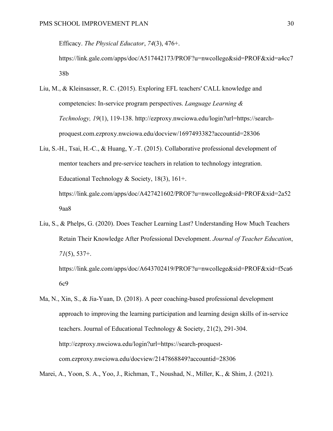Efficacy. *The Physical Educator*, *74*(3), 476+.

https://link.gale.com/apps/doc/A517442173/PROF?u=nwcollege&sid=PROF&xid=a4cc7 38b

- Liu, M., & Kleinsasser, R. C. (2015). Exploring EFL teachers' CALL knowledge and competencies: In-service program perspectives. *Language Learning & Technology, 19*(1), 119-138. http://ezproxy.nwciowa.edu/login?url=https://searchproquest.com.ezproxy.nwciowa.edu/docview/1697493382?accountid=28306
- Liu, S.-H., Tsai, H.-C., & Huang, Y.-T. (2015). Collaborative professional development of mentor teachers and pre-service teachers in relation to technology integration. Educational Technology & Society, 18(3), 161+. https://link.gale.com/apps/doc/A427421602/PROF?u=nwcollege&sid=PROF&xid=2a52 9aa8
- Liu, S., & Phelps, G. (2020). Does Teacher Learning Last? Understanding How Much Teachers Retain Their Knowledge After Professional Development. *Journal of Teacher Education*, *71*(5), 537+.

https://link.gale.com/apps/doc/A643702419/PROF?u=nwcollege&sid=PROF&xid=f5ca6 6c9

Ma, N., Xin, S., & Jia-Yuan, D. (2018). A peer coaching-based professional development approach to improving the learning participation and learning design skills of in-service teachers. Journal of Educational Technology & Society, 21(2), 291-304. http://ezproxy.nwciowa.edu/login?url=https://search-proquestcom.ezproxy.nwciowa.edu/docview/2147868849?accountid=28306

Marei, A., Yoon, S. A., Yoo, J., Richman, T., Noushad, N., Miller, K., & Shim, J. (2021).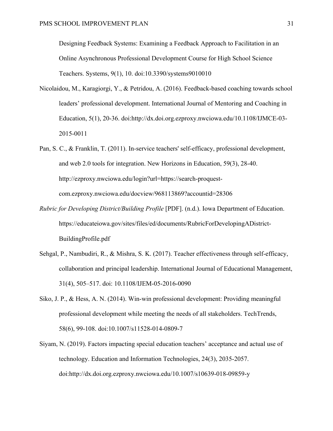Designing Feedback Systems: Examining a Feedback Approach to Facilitation in an Online Asynchronous Professional Development Course for High School Science Teachers. Systems, 9(1), 10. doi:10.3390/systems9010010

- Nicolaidou, M., Karagiorgi, Y., & Petridou, A. (2016). Feedback-based coaching towards school leaders' professional development. International Journal of Mentoring and Coaching in Education, 5(1), 20-36. doi:http://dx.doi.org.ezproxy.nwciowa.edu/10.1108/IJMCE-03- 2015-0011
- Pan, S. C., & Franklin, T. (2011). In-service teachers' self-efficacy, professional development, and web 2.0 tools for integration. New Horizons in Education, 59(3), 28-40. http://ezproxy.nwciowa.edu/login?url=https://search-proquestcom.ezproxy.nwciowa.edu/docview/968113869?accountid=28306
- *Rubric for Developing District/Building Profile* [PDF]. (n.d.). Iowa Department of Education. https://educateiowa.gov/sites/files/ed/documents/RubricForDevelopingADistrict-BuildingProfile.pdf
- Sehgal, P., Nambudiri, R., & Mishra, S. K. (2017). Teacher effectiveness through self-efficacy, collaboration and principal leadership. International Journal of Educational Management, 31(4), 505–517. doi: 10.1108/IJEM-05-2016-0090
- Siko, J. P., & Hess, A. N. (2014). Win-win professional development: Providing meaningful professional development while meeting the needs of all stakeholders. TechTrends, 58(6), 99-108. doi:10.1007/s11528-014-0809-7
- Siyam, N. (2019). Factors impacting special education teachers' acceptance and actual use of technology. Education and Information Technologies, 24(3), 2035-2057. doi:http://dx.doi.org.ezproxy.nwciowa.edu/10.1007/s10639-018-09859-y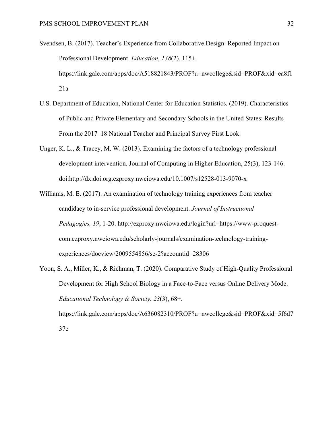- Svendsen, B. (2017). Teacher's Experience from Collaborative Design: Reported Impact on Professional Development. *Education*, *138*(2), 115+. https://link.gale.com/apps/doc/A518821843/PROF?u=nwcollege&sid=PROF&xid=ea8f1 21a
- U.S. Department of Education, National Center for Education Statistics. (2019). Characteristics of Public and Private Elementary and Secondary Schools in the United States: Results From the 2017–18 National Teacher and Principal Survey First Look.
- Unger, K. L., & Tracey, M. W. (2013). Examining the factors of a technology professional development intervention. Journal of Computing in Higher Education, 25(3), 123-146. doi:http://dx.doi.org.ezproxy.nwciowa.edu/10.1007/s12528-013-9070-x
- Williams, M. E. (2017). An examination of technology training experiences from teacher candidacy to in-service professional development. *Journal of Instructional Pedagogies, 19*, 1-20. http://ezproxy.nwciowa.edu/login?url=https://www-proquestcom.ezproxy.nwciowa.edu/scholarly-journals/examination-technology-trainingexperiences/docview/2009554856/se-2?accountid=28306
- Yoon, S. A., Miller, K., & Richman, T. (2020). Comparative Study of High-Quality Professional Development for High School Biology in a Face-to-Face versus Online Delivery Mode. *Educational Technology & Society*, *23*(3), 68+. https://link.gale.com/apps/doc/A636082310/PROF?u=nwcollege&sid=PROF&xid=5f6d7 37e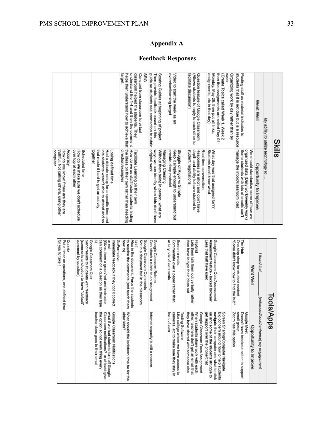# **Appendix A**

## **Feedback Responses**

| computer<br>truthful. Not calling others, using other<br>Accuracy<br>How do you know if they are they are                                                            |                                                                                                                                                                                                          |
|----------------------------------------------------------------------------------------------------------------------------------------------------------------------|----------------------------------------------------------------------------------------------------------------------------------------------------------------------------------------------------------|
| over top of each other<br>How do we make sure we don't schedule<br>Scheduled time                                                                                    |                                                                                                                                                                                                          |
| together<br>lots students weren't able to attend and so<br>that made it hard to get an activity<br>Losing defined time<br>Had a debate setup for a specific time and |                                                                                                                                                                                                          |
| the ideas on their own rather than needing<br>direction/examples<br>How do we as staff foster students finding<br>Facilitate Learning on their own                   | pedien<br>understand the 1-4 and then the comment<br>classroom helped the students. They<br>helps then understand how to achieve that<br>SRG<br>Constant from classroom to virtual                       |
| original work<br>ways we can identity when kids don't have<br>Without them being in person, what are<br>Managing Cheating                                            | guide so students see connection to rubric<br>Scoring Guides at beginning of project<br>Then provide feedback based on this                                                                              |
| provide deep material<br>Keep it simple enough to understand but<br>Struggle of Rigor vs Simple                                                                      | overview/learning target<br>Video to start the week as an                                                                                                                                                |
| depth and ability to have student to<br>student negotiations<br>Responses are short and don't have<br>Real-time conversation                                         | facilitate discussion)<br>Question feature of Google Classroom<br>(Allows students to reply to each other to                                                                                             |
| What day was that assigned for??<br>Students don't know what                                                                                                         | Week<br>then the assignments are called Day 01:<br>assignments, etc in that day)<br>(Create Topics called Week 1, Week 2<br>Organizing work by day rather than by<br>Monday, May 28: then put all links, |
| manage the inbox/classroom load<br>We should standardize some of how we<br>Some students with lots of emails can't<br>organized data (Daily work/weekly work)        | students that it is not due but is a resource<br>Posting stuff as material indicates to                                                                                                                  |
| Opportunity to Improve                                                                                                                                               | Went Well                                                                                                                                                                                                |
|                                                                                                                                                                      | My ability to utilize technology to .                                                                                                                                                                    |
|                                                                                                                                                                      | <b>Slilis</b>                                                                                                                                                                                            |

| Tools/Apps                                                                                                                                                                  |                                                                                                                                                                                                        |
|-----------------------------------------------------------------------------------------------------------------------------------------------------------------------------|--------------------------------------------------------------------------------------------------------------------------------------------------------------------------------------------------------|
| I found that                                                                                                                                                                | [enhanced/could enhance] my engagement                                                                                                                                                                 |
| Went Well                                                                                                                                                                   | Opportunity to Improve                                                                                                                                                                                 |
| "Some didn't know how to find the hub"<br>One stop shop for student content<br>모르다                                                                                          | Zoom has this option<br>dnou <sup>6</sup> mews<br>Doesn't have breakout option to support<br>Google Meet                                                                                               |
| Less that half have used<br>Assessment feature - locked browser<br>Google Classroom Quiz/Assessment                                                                         | on and some of the students struggle to<br>navigate their computer and what to click<br>get support over the phone/chat<br>Big concern around how to help students<br>Screen Sharing/Computer Navigate |
| than have to type their ideas out<br>FlipGrid<br>Lets them talk them out verbally rather                                                                                    | they have shared with someone else<br>other, teachers don't get an email that<br>When students share work with each<br>Google Classroom Docs Assignment                                                |
| writing lots of comments<br>Commentate over a paper rather than<br>Screen-o-matic                                                                                           | front of cam<br>Like college where we have access to<br>cameras, etc to make sure they stay in<br><b>Testing Software</b>                                                                              |
| Can attach a rubric to an assignment<br>Google Classoom Rubrics                                                                                                             | Internet capacity is still a concern                                                                                                                                                                   |
| how to)<br>to resolve the comments (and teach them<br>Also in the document. Force the students<br>回具<br>Not in a document but in the classroom<br>Google Classroom Comments | What should the lockdown time be for the<br>older kids?                                                                                                                                                |
| కె<br>can comment on a question as they type<br>(Gives them a green/red and instructor<br>ar not<br>Immediate feedback if they got it correct<br><b>GoFormative</b>         | the option so not every thing every<br>what if we had students turn off Google<br>Google Classroom Notifications<br>teacher does goes to their email<br>Classroom notifications? or at least give      |
| comment by question)<br>(comments and option to have "default"<br>Send results to students with feedback<br>Google Classroom Quiz                                           |                                                                                                                                                                                                        |
| for you to take it<br>Put a timer on questions, and defined time<br>zizzino                                                                                                 |                                                                                                                                                                                                        |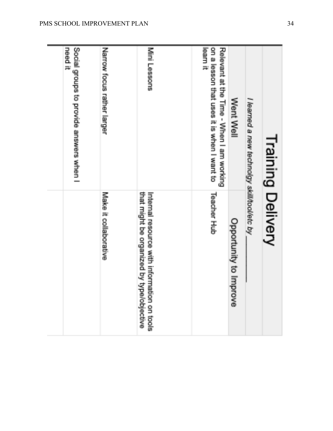| Training Delivery                                                                                  |                                                                                          |
|----------------------------------------------------------------------------------------------------|------------------------------------------------------------------------------------------|
| I learned a new technolgy skill/tool/etc by                                                        |                                                                                          |
| Went Well                                                                                          | Opportunity to Imp<br>nove                                                               |
| learn it<br>on a lesson that uses it is when I want to<br>Relevant at the Time - When I am working | <b>Teacher Hub</b>                                                                       |
| Mini Lessons                                                                                       | Internal resource with information on tools<br>that might be organized by type/objective |
| Narrow focus rather larger                                                                         | Make it collaborative                                                                    |
| need it<br>Social groups to provide answers when I                                                 |                                                                                          |
|                                                                                                    |                                                                                          |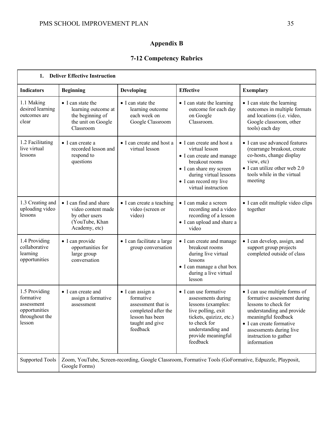# **Appendix B**

# **7-12 Competency Rubrics**

| 1.                                                                                    | <b>Deliver Effective Instruction</b>                                                              |                                                                                                                              |                                                                                                                                                                                                  |                                                                                                                                                                                                                                         |
|---------------------------------------------------------------------------------------|---------------------------------------------------------------------------------------------------|------------------------------------------------------------------------------------------------------------------------------|--------------------------------------------------------------------------------------------------------------------------------------------------------------------------------------------------|-----------------------------------------------------------------------------------------------------------------------------------------------------------------------------------------------------------------------------------------|
| <b>Indicators</b>                                                                     | <b>Beginning</b>                                                                                  | Developing                                                                                                                   | <b>Effective</b>                                                                                                                                                                                 | <b>Exemplary</b>                                                                                                                                                                                                                        |
| 1.1 Making<br>desired learning<br>outcomes are<br>clear                               | • I can state the<br>learning outcome at<br>the beginning of<br>the unit on Google<br>Classroom   | • I can state the<br>learning outcome<br>each week on<br>Google Classroom                                                    | • I can state the learning<br>outcome for each day<br>on Google<br>Classroom.                                                                                                                    | • I can state the learning<br>outcomes in multiple formats<br>and locations (i.e. video,<br>Google classroom, other<br>tools) each day                                                                                                  |
| 1.2 Facilitating<br>live virtual<br>lessons                                           | $\bullet$ I can create a<br>recorded lesson and<br>respond to<br>questions                        | • I can create and host a<br>virtual lesson                                                                                  | • I can create and host a<br>virtual lesson<br>• I can create and manage<br>breakout rooms<br>• I can share my screen<br>during virtual lessons<br>• I can record my live<br>virtual instruction | • I can use advanced features<br>(rearrange breakout, create<br>co-hosts, change display<br>view, etc)<br>• I can utilize other web 2.0<br>tools while in the virtual<br>meeting                                                        |
| 1.3 Creating and<br>uploading video<br>lessons                                        | • I can find and share<br>video content made<br>by other users<br>(YouTube, Khan<br>Academy, etc) | • I can create a teaching<br>video (screen or<br>video)                                                                      | • I can make a screen<br>recording and a video<br>recording of a lesson<br>• I can upload and share a<br>video                                                                                   | • I can edit multiple video clips<br>together                                                                                                                                                                                           |
| 1.4 Providing<br>collaborative<br>learning<br>opportunities                           | • I can provide<br>opportunities for<br>large group<br>conversation                               | · I can facilitate a large<br>group conversation                                                                             | • I can create and manage<br>breakout rooms<br>during live virtual<br>lessons<br>· I can manage a chat box<br>during a live virtual<br>lesson                                                    | · I can develop, assign, and<br>support group projects<br>completed outside of class                                                                                                                                                    |
| 1.5 Providing<br>formative<br>assessment<br>opportunities<br>throughout the<br>lesson | $\bullet$ I can create and<br>assign a formative<br>assessment                                    | · I can assign a<br>formative<br>assessment that is<br>completed after the<br>lesson has been<br>taught and give<br>feedback | • I can use formative<br>assessments during<br>lessons (examples:<br>live polling, exit<br>tickets, quizizz, etc.)<br>to check for<br>understanding and<br>provide meaningful<br>feedback        | · I can use multiple forms of<br>formative assessment during<br>lessons to check for<br>understanding and provide<br>meaningful feedback<br>• I can create formative<br>assessments during live<br>instruction to gather<br>information |
| <b>Supported Tools</b>                                                                | Google Forms)                                                                                     |                                                                                                                              | Zoom, YouTube, Screen-recording, Google Classroom, Formative Tools (GoFormative, Edpuzzle, Playposit,                                                                                            |                                                                                                                                                                                                                                         |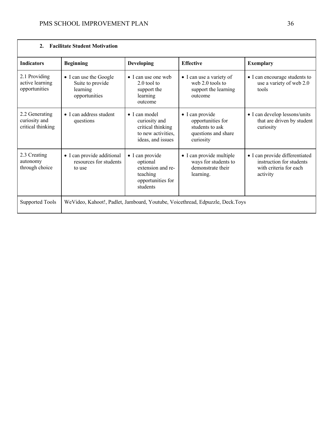| $\overline{2}$ .                                     | <b>Facilitate Student Motivation</b>                                    |                                                                                                        |                                                                                             |                                                                                                  |
|------------------------------------------------------|-------------------------------------------------------------------------|--------------------------------------------------------------------------------------------------------|---------------------------------------------------------------------------------------------|--------------------------------------------------------------------------------------------------|
| <b>Indicators</b>                                    | <b>Beginning</b>                                                        | <b>Developing</b>                                                                                      | <b>Effective</b>                                                                            | <b>Exemplary</b>                                                                                 |
| 2.1 Providing<br>active learning<br>opportunities    | • I can use the Google<br>Suite to provide<br>learning<br>opportunities | $\bullet$ I can use one web<br>$2.0$ tool to<br>support the<br>learning<br>outcome                     | • I can use a variety of<br>web $2.0$ tools to<br>support the learning<br>outcome           | • I can encourage students to<br>use a variety of web 2.0<br>tools                               |
| 2.2 Generating<br>curiosity and<br>critical thinking | $\bullet$ I can address student<br>questions                            | $\bullet$ I can model<br>curiosity and<br>critical thinking<br>to new activities,<br>ideas, and issues | • I can provide<br>opportunities for<br>students to ask<br>questions and share<br>curiosity | • I can develop lessons/units<br>that are driven by student<br>curiosity                         |
| 2.3 Creating<br>autonomy<br>through choice           | • I can provide additional<br>resources for students<br>to use          | · I can provide<br>optional<br>extension and re-<br>teaching<br>opportunities for<br>students          | • I can provide multiple<br>ways for students to<br>demonstrate their<br>learning.          | · I can provide differentiated<br>instruction for students<br>with criteria for each<br>activity |
| <b>Supported Tools</b>                               |                                                                         |                                                                                                        | WeVideo, Kahoot!, Padlet, Jamboard, Youtube, Voicethread, Edpuzzle, Deck.Toys               |                                                                                                  |

٦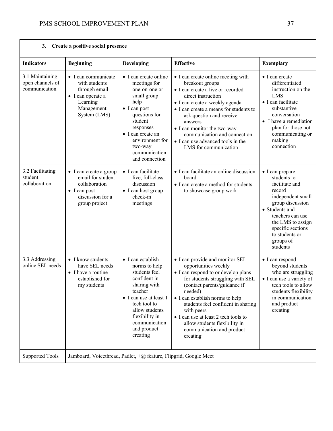|                                                      | 3. Create a positive social presence                                                                                      |                                                                                                                                                                                                                                      |                                                                                                                                                                                                                                                                                                                                                                                        |                                                                                                                                                                                                                                |
|------------------------------------------------------|---------------------------------------------------------------------------------------------------------------------------|--------------------------------------------------------------------------------------------------------------------------------------------------------------------------------------------------------------------------------------|----------------------------------------------------------------------------------------------------------------------------------------------------------------------------------------------------------------------------------------------------------------------------------------------------------------------------------------------------------------------------------------|--------------------------------------------------------------------------------------------------------------------------------------------------------------------------------------------------------------------------------|
| <b>Indicators</b>                                    | <b>Beginning</b>                                                                                                          | Developing                                                                                                                                                                                                                           | <b>Effective</b>                                                                                                                                                                                                                                                                                                                                                                       | <b>Exemplary</b>                                                                                                                                                                                                               |
| 3.1 Maintaining<br>open channels of<br>communication | • I can communicate<br>with students<br>through email<br>• I can operate a<br>Learning<br>Management<br>System (LMS)      | • I can create online<br>meetings for<br>one-on-one or<br>small group<br>help<br>$\bullet$ I can post<br>questions for<br>student<br>responses<br>• I can create an<br>environment for<br>two-way<br>communication<br>and connection | • I can create online meeting with<br>breakout groups<br>• I can create a live or recorded<br>direct instruction<br>• I can create a weekly agenda<br>• I can create a means for students to<br>ask question and receive<br>answers<br>• I can monitor the two-way<br>communication and connection<br>• I can use advanced tools in the<br>LMS for communication                       | $\bullet$ I can create<br>differentiated<br>instruction on the<br><b>LMS</b><br>· I can facilitate<br>substantive<br>conversation<br>• I have a remediation<br>plan for those not<br>communicating or<br>making<br>connection  |
| 3.2 Facilitating<br>student<br>collaboration         | • I can create a group<br>email for student<br>collaboration<br>$\bullet$ I can post<br>discussion for a<br>group project | · I can facilitate<br>live, full-class<br>discussion<br>• I can host group<br>check-in<br>meetings                                                                                                                                   | • I can facilitate an online discussion<br>board<br>• I can create a method for students<br>to showcase group work                                                                                                                                                                                                                                                                     | • I can prepare<br>students to<br>facilitate and<br>record<br>independent small<br>group discussion<br>• Students and<br>teachers can use<br>the LMS to assign<br>specific sections<br>to students or<br>groups of<br>students |
| 3.3 Addressing<br>online SEL needs                   | • I know students<br>have SEL needs<br>• I have a routine<br>established for<br>my students                               | $\bullet$ I can establish<br>norms to help<br>students feel<br>confident in<br>sharing with<br>teacher<br>• I can use at least 1<br>tech tool to<br>allow students<br>flexibility in<br>communication<br>and product<br>creating     | • I can provide and monitor SEL<br>opportunities weekly<br>• I can respond to or develop plans<br>for students struggling with SEL<br>(contact parents/guidance if<br>needed)<br>• I can establish norms to help<br>students feel confident in sharing<br>with peers<br>• I can use at least 2 tech tools to<br>allow students flexibility in<br>communication and product<br>creating | • I can respond<br>beyond students<br>who are struggling<br>• I can use a variety of<br>tech tools to allow<br>students flexibility<br>in communication<br>and product<br>creating                                             |
| <b>Supported Tools</b>                               |                                                                                                                           | Jamboard, Voicethread, Padlet, +@ feature, Flipgrid, Google Meet                                                                                                                                                                     |                                                                                                                                                                                                                                                                                                                                                                                        |                                                                                                                                                                                                                                |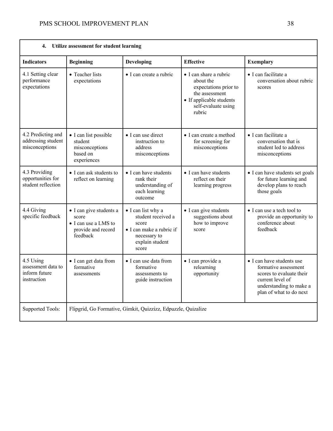| 4.                                                              | Utilize assessment for student learning                                                    |                                                                                                                           |                                                                                                                                             |                                                                                                                                                         |
|-----------------------------------------------------------------|--------------------------------------------------------------------------------------------|---------------------------------------------------------------------------------------------------------------------------|---------------------------------------------------------------------------------------------------------------------------------------------|---------------------------------------------------------------------------------------------------------------------------------------------------------|
| <b>Indicators</b>                                               | <b>Beginning</b>                                                                           | Developing                                                                                                                | <b>Effective</b>                                                                                                                            | <b>Exemplary</b>                                                                                                                                        |
| 4.1 Setting clear<br>performance<br>expectations                | • Teacher lists<br>expectations                                                            | · I can create a rubric                                                                                                   | • I can share a rubric<br>about the<br>expectations prior to<br>the assessment<br>• If applicable students<br>self-evaluate using<br>rubric | • I can facilitate a<br>conversation about rubric<br>scores                                                                                             |
| 4.2 Predicting and<br>addressing student<br>misconceptions      | • I can list possible<br>student<br>misconceptions<br>based on<br>experiences              | · I can use direct<br>instruction to<br>address<br>misconceptions                                                         | • I can create a method<br>for screening for<br>misconceptions                                                                              | · I can facilitate a<br>conversation that is<br>student led to address<br>misconceptions                                                                |
| 4.3 Providing<br>opportunities for<br>student reflection        | • I can ask students to<br>reflect on learning                                             | • I can have students<br>rank their<br>understanding of<br>each learning<br>outcome                                       | • I can have students<br>reflect on their<br>learning progress                                                                              | • I can have students set goals<br>for future learning and<br>develop plans to reach<br>those goals                                                     |
| 4.4 Giving<br>specific feedback                                 | • I can give students a<br>score<br>• I can use a LMS to<br>provide and record<br>feedback | • I can list why a<br>student received a<br>score<br>• I can make a rubric if<br>necessary to<br>explain student<br>score | • I can give students<br>suggestions about<br>how to improve<br>score                                                                       | • I can use a tech tool to<br>provide an opportunity to<br>conference about<br>feedback                                                                 |
| 4.5 Using<br>assessment data to<br>inform future<br>instruction | • I can get data from<br>formative<br>assessments                                          | • I can use data from<br>formative<br>assessments to<br>guide instruction                                                 | · I can provide a<br>relearning<br>opportunity                                                                                              | • I can have students use<br>formative assessment<br>scores to evaluate their<br>current level of<br>understanding to make a<br>plan of what to do next |
| <b>Supported Tools:</b>                                         |                                                                                            | Flipgrid, Go Formative, Gimkit, Quizzizz, Edpuzzle, Quizalize                                                             |                                                                                                                                             |                                                                                                                                                         |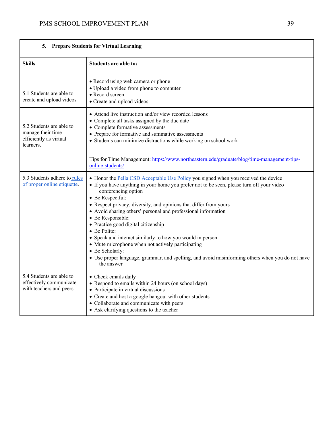| 5.                                                                                   | <b>Prepare Students for Virtual Learning</b>                                                                                                                                                                                                                                                                                                                                                                                                                                                                                                                                                                                                                                                         |
|--------------------------------------------------------------------------------------|------------------------------------------------------------------------------------------------------------------------------------------------------------------------------------------------------------------------------------------------------------------------------------------------------------------------------------------------------------------------------------------------------------------------------------------------------------------------------------------------------------------------------------------------------------------------------------------------------------------------------------------------------------------------------------------------------|
| <b>Skills</b>                                                                        | Students are able to:                                                                                                                                                                                                                                                                                                                                                                                                                                                                                                                                                                                                                                                                                |
| 5.1 Students are able to<br>create and upload videos                                 | • Record using web camera or phone<br>· Upload a video from phone to computer<br>• Record screen<br>• Create and upload videos                                                                                                                                                                                                                                                                                                                                                                                                                                                                                                                                                                       |
| 5.2 Students are able to<br>manage their time<br>efficiently as virtual<br>learners. | • Attend live instruction and/or view recorded lessons<br>• Complete all tasks assigned by the due date<br>• Complete formative assessments<br>• Prepare for formative and summative assessments<br>• Students can minimize distractions while working on school work                                                                                                                                                                                                                                                                                                                                                                                                                                |
|                                                                                      | Tips for Time Management: https://www.northeastern.edu/graduate/blog/time-management-tips-<br>online-students/                                                                                                                                                                                                                                                                                                                                                                                                                                                                                                                                                                                       |
| 5.3 Students adhere to rules<br>of proper online etiquette.                          | • Honor the Pella CSD Acceptable Use Policy you signed when you received the device<br>• If you have anything in your home you prefer not to be seen, please turn off your video<br>conferencing option<br>• Be Respectful:<br>• Respect privacy, diversity, and opinions that differ from yours<br>• Avoid sharing others' personal and professional information<br>• Be Responsible:<br>· Practice good digital citizenship<br>• Be Polite:<br>• Speak and interact similarly to how you would in person<br>• Mute microphone when not actively participating<br>• Be Scholarly:<br>· Use proper language, grammar, and spelling, and avoid misinforming others when you do not have<br>the answer |
| 5.4 Students are able to<br>effectively communicate<br>with teachers and peers       | • Check emails daily<br>• Respond to emails within 24 hours (on school days)<br>• Participate in virtual discussions<br>• Create and host a google hangout with other students<br>• Collaborate and communicate with peers<br>• Ask clarifying questions to the teacher                                                                                                                                                                                                                                                                                                                                                                                                                              |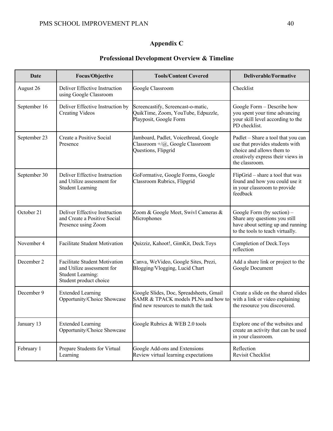# **Appendix C**

## **Professional Development Overview & Timeline**

| Date         | <b>Focus/Objective</b>                                                                                            | <b>Tools/Content Covered</b>                                                                                           | <b>Deliverable/Formative</b>                                                                                                                              |
|--------------|-------------------------------------------------------------------------------------------------------------------|------------------------------------------------------------------------------------------------------------------------|-----------------------------------------------------------------------------------------------------------------------------------------------------------|
| August 26    | Deliver Effective Instruction<br>using Google Classroom                                                           | Google Classroom                                                                                                       | Checklist                                                                                                                                                 |
| September 16 | Deliver Effective Instruction by<br><b>Creating Videos</b>                                                        | Screencastify, Screencast-o-matic,<br>QuikTime, Zoom, YouTube, Edpuzzle,<br>Playposit, Google Form                     | Google Form - Describe how<br>you spent your time advancing<br>your skill level according to the<br>PD checklist.                                         |
| September 23 | Create a Positive Social<br>Presence                                                                              | Jamboard, Padlet, Voicethread, Google<br>Classroom +/@, Google Classroom<br>Questions, Flipgrid                        | Padlet - Share a tool that you can<br>use that provides students with<br>choice and allows them to<br>creatively express their views in<br>the classroom. |
| September 30 | Deliver Effective Instruction<br>and Utilize assessment for<br><b>Student Learning</b>                            | GoFormative, Google Forms, Google<br>Classroom Rubrics, Flipgrid                                                       | FlipGrid – share a tool that was<br>found and how you could use it<br>in your classroom to provide<br>feedback                                            |
| October 21   | Deliver Effective Instruction<br>and Create a Positive Social<br>Presence using Zoom                              | Zoom & Google Meet, Swivl Cameras &<br>Microphones                                                                     | Google Form (by section) -<br>Share any questions you still<br>have about setting up and running<br>to the tools to teach virtually.                      |
| November 4   | Facilitate Student Motivation                                                                                     | Quizziz, Kahoot!, GimKit, Deck.Toys                                                                                    | Completion of Deck.Toys<br>reflection                                                                                                                     |
| December 2   | Facilitate Student Motivation<br>and Utilize assessment for<br><b>Student Learning:</b><br>Student product choice | Canva, WeVideo, Google Sites, Prezi,<br>Blogging/Vlogging, Lucid Chart                                                 | Add a share link or project to the<br>Google Document                                                                                                     |
| December 9   | <b>Extended Learning</b><br>Opportunity/Choice Showcase                                                           | Google Slides, Doc, Spreadsheets, Gmail<br>SAMR & TPACK models PLNs and how to<br>find new resources to match the task | Create a slide on the shared slides<br>with a link or video explaining<br>the resource you discovered.                                                    |
| January 13   | <b>Extended Learning</b><br>Opportunity/Choice Showcase                                                           | Google Rubrics & WEB 2.0 tools                                                                                         | Explore one of the websites and<br>create an activity that can be used<br>in your classroom.                                                              |
| February 1   | Prepare Students for Virtual<br>Learning                                                                          | Google Add-ons and Extensions<br>Review virtual learning expectations                                                  | Reflection<br>Revisit Checklist                                                                                                                           |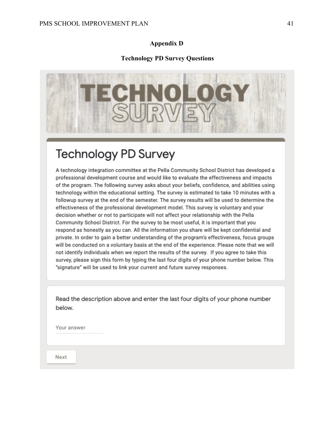## **Appendix D**

## **Technology PD Survey Questions**



# **Technology PD Survey**

A technology integration committee at the Pella Community School District has developed a professional development course and would like to evaluate the effectiveness and impacts of the program. The following survey asks about your beliefs, confidence, and abilities using technology within the educational setting. The survey is estimated to take 10 minutes with a followup survey at the end of the semester. The survey results will be used to determine the effectiveness of the professional development model. This survey is voluntary and your decision whether or not to participate will not affect your relationship with the Pella Community School District. For the survey to be most useful, it is important that you respond as honestly as you can. All the information you share will be kept confidential and private. In order to gain a better understanding of the program's effectiveness, focus groups will be conducted on a voluntary basis at the end of the experience. Please note that we will not identify individuals when we report the results of the survey. If you agree to take this survey, please sign this form by typing the last four digits of your phone number below. This "signature" will be used to link your current and future survey responses.

Read the description above and enter the last four digits of your phone number below.

Your answer

Next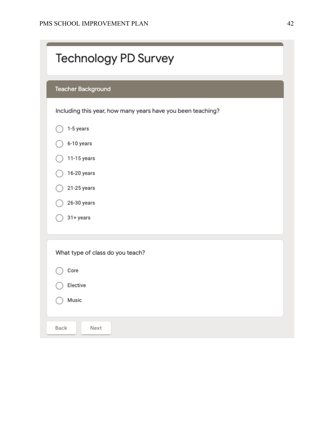the control of the control of the control of the control of the

|           | Teacher Background                                          |  |
|-----------|-------------------------------------------------------------|--|
|           | Including this year, how many years have you been teaching? |  |
| 1-5 years |                                                             |  |
|           | 6-10 years                                                  |  |
|           | 11-15 years                                                 |  |
|           | 16-20 years                                                 |  |
|           | 21-25 years                                                 |  |
|           | 26-30 years                                                 |  |
| 31+ years |                                                             |  |
|           | What type of class do you teach?                            |  |
| Core      |                                                             |  |
| Elective  |                                                             |  |
| Music     |                                                             |  |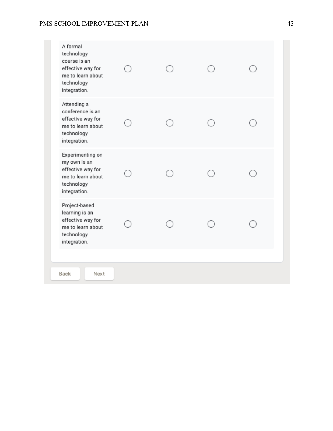## PMS SCHOOL IMPROVEMENT PLAN 43

| Attending a<br>conference is an<br>effective way for<br>me to learn about<br>technology<br>integration.<br>Experimenting on<br>my own is an<br>effective way for<br>me to learn about<br>technology<br>integration.<br>Project-based<br>learning is an<br>effective way for<br>me to learn about<br>technology<br>integration. | A formal<br>technology<br>course is an<br>effective way for<br>me to learn about<br>technology<br>integration. |  |  |
|--------------------------------------------------------------------------------------------------------------------------------------------------------------------------------------------------------------------------------------------------------------------------------------------------------------------------------|----------------------------------------------------------------------------------------------------------------|--|--|
|                                                                                                                                                                                                                                                                                                                                |                                                                                                                |  |  |
|                                                                                                                                                                                                                                                                                                                                |                                                                                                                |  |  |
|                                                                                                                                                                                                                                                                                                                                |                                                                                                                |  |  |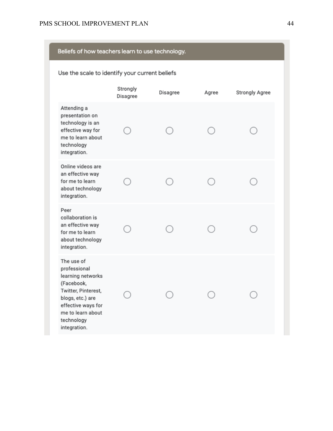| Beliefs of how teachers learn to use technology.                                                                                                                                  |                                                |          |       |                |  |
|-----------------------------------------------------------------------------------------------------------------------------------------------------------------------------------|------------------------------------------------|----------|-------|----------------|--|
|                                                                                                                                                                                   | Use the scale to identify your current beliefs |          |       |                |  |
|                                                                                                                                                                                   | Strongly<br>Disagree                           | Disagree | Agree | Strongly Agree |  |
| Attending a<br>presentation on<br>technology is an<br>effective way for<br>me to learn about<br>technology<br>integration.                                                        |                                                |          |       |                |  |
| Online videos are<br>an effective way<br>for me to learn<br>about technology<br>integration.                                                                                      |                                                |          |       |                |  |
| Peer<br>collaboration is<br>an effective way<br>for me to learn<br>about technology<br>integration.                                                                               |                                                |          |       |                |  |
| The use of<br>professional<br>learning networks<br>(Facebook.<br>Twitter, Pinterest,<br>blogs, etc.) are<br>effective ways for<br>me to learn about<br>technology<br>integration. |                                                |          |       |                |  |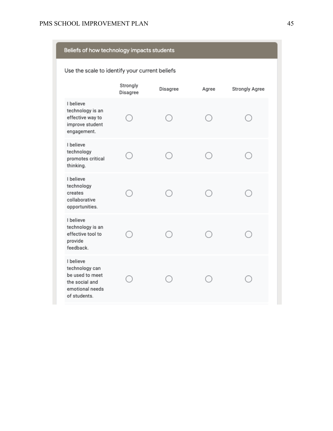| Beliefs of how technology impacts students                                                          |                                                |          |       |                |  |
|-----------------------------------------------------------------------------------------------------|------------------------------------------------|----------|-------|----------------|--|
|                                                                                                     | Use the scale to identify your current beliefs |          |       |                |  |
|                                                                                                     | Strongly<br>Disagree                           | Disagree | Agree | Strongly Agree |  |
| I believe<br>technology is an<br>effective way to<br>improve student<br>engagement.                 |                                                |          |       |                |  |
| I believe<br>technology<br>promotes critical<br>thinking.                                           |                                                |          |       |                |  |
| I believe<br>technology<br>creates<br>collaborative<br>opportunities.                               |                                                |          |       |                |  |
| I believe<br>technology is an<br>effective tool to<br>provide<br>feedback.                          |                                                |          |       |                |  |
| I believe<br>technology can<br>be used to meet<br>the social and<br>emotional needs<br>of students. |                                                |          |       |                |  |